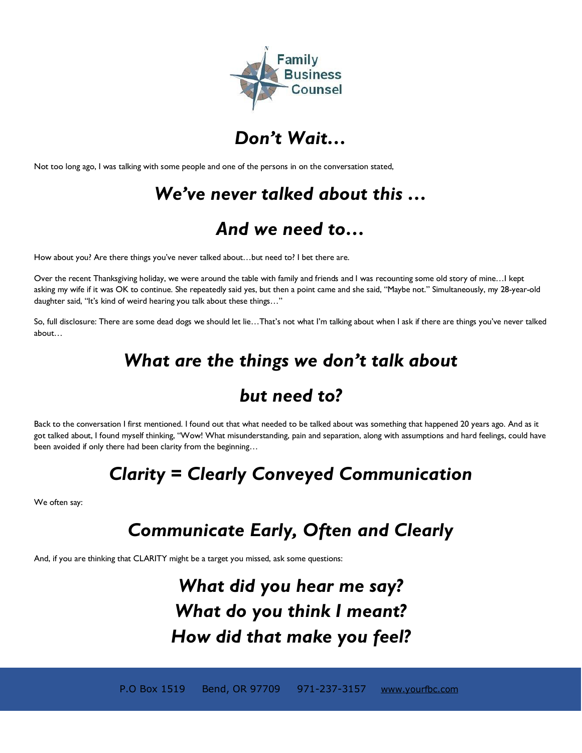

## *Don't Wait…*

Not too long ago, I was talking with some people and one of the persons in on the conversation stated,

# *We've never talked about this …*

## *And we need to…*

How about you? Are there things you've never talked about…but need to? I bet there are.

Over the recent Thanksgiving holiday, we were around the table with family and friends and I was recounting some old story of mine…I kept asking my wife if it was OK to continue. She repeatedly said yes, but then a point came and she said, "Maybe not." Simultaneously, my 28-year-old daughter said, "It's kind of weird hearing you talk about these things…"

So, full disclosure: There are some dead dogs we should let lie…That's not what I'm talking about when I ask if there are things you've never talked about…

## *What are the things we don't talk about*

## *but need to?*

Back to the conversation I first mentioned. I found out that what needed to be talked about was something that happened 20 years ago. And as it got talked about, I found myself thinking, "Wow! What misunderstanding, pain and separation, along with assumptions and hard feelings, could have been avoided if only there had been clarity from the beginning…

## *Clarity = Clearly Conveyed Communication*

We often say:

# *Communicate Early, Often and Clearly*

And, if you are thinking that CLARITY might be a target you missed, ask some questions:

# *What did you hear me say? What do you think I meant? How did that make you feel?*